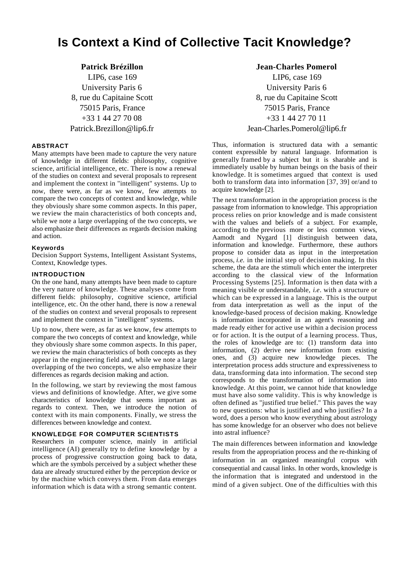# **Is Context a Kind of Collective Tacit Knowledge?**

# **Patrick Brézillon**

LIP6, case 169 University Paris 6 8, rue du Capitaine Scott 75015 Paris, France +33 1 44 27 70 08 Patrick.Brezillon@lip6.fr

# **ABSTRACT**

Many attempts have been made to capture the very nature of knowledge in different fields: philosophy, cognitive science, artificial intelligence, etc. There is now a renewal of the studies on context and several proposals to represent and implement the context in "intelligent" systems. Up to now, there were, as far as we know, few attempts to compare the two concepts of context and knowledge, while they obviously share some common aspects. In this paper, we review the main characteristics of both concepts and, while we note a large overlapping of the two concepts, we also emphasize their differences as regards decision making and action.

#### **Keywords**

Decision Support Systems, Intelligent Assistant Systems, Context, Knowledge types.

### **INTRODUCTION**

On the one hand, many attempts have been made to capture the very nature of knowledge. These analyses come from different fields: philosophy, cognitive science, artificial intelligence, etc. On the other hand, there is now a renewal of the studies on context and several proposals to represent and implement the context in "intelligent" systems.

Up to now, there were, as far as we know, few attempts to compare the two concepts of context and knowledge, while they obviously share some common aspects. In this paper, we review the main characteristics of both concepts as they appear in the engineering field and, while we note a large overlapping of the two concepts, we also emphasize their differences as regards decision making and action.

In the following, we start by reviewing the most famous views and definitions of knowledge. After, we give some characteristics of knowledge that seems important as regards to context. Then, we introduce the notion of context with its main components. Finally, we stress the differences between knowledge and context.

#### **KNOWLEDGE FOR COMPUTER SCIENTISTS**

Researchers in computer science, mainly in artificial intelligence (AI) generally try to define knowledge by a process of progressive construction going back to data, which are the symbols perceived by a subject whether these data are already structured either by the perception device or by the machine which conveys them. From data emerges information which is data with a strong semantic content.

#### **Jean-Charles Pomerol**

LIP6, case 169 University Paris 6 8, rue du Capitaine Scott 75015 Paris, France +33 1 44 27 70 11 Jean-Charles.Pomerol@lip6.fr

Thus, information is structured data with a semantic content expressible by natural language. Information is generally framed by a subject but it is sharable and is immediately usable by human beings on the basis of their knowledge. It is sometimes argued that context is used both to transform data into information [37, 39] or/and to acquire knowledge [2].

The next transformation in the appropriation process is the passage from information to knowledge. This appropriation process relies on prior knowledge and is made consistent with the values and beliefs of a subject. For example, according to the previous more or less common views, Aamodt and Nygard [1] distinguish between data, information and knowledge. Furthermore, these authors propose to consider data as input in the interpretation process, *i.e.* in the initial step of decision making. In this scheme, the data are the stimuli which enter the interpreter according to the classical view of the Information Processing Systems [25]. Information is then data with a meaning visible or understandable, *i.e*. with a structure or which can be expressed in a language. This is the output from data interpretation as well as the input of the knowledge-based process of decision making. Knowledge is information incorporated in an agent's reasoning and made ready either for active use within a decision process or for action. It is the output of a learning process. Thus, the roles of knowledge are to: (1) transform data into information, (2) derive new information from existing ones, and (3) acquire new knowledge pieces. The interpretation process adds structure and expressiveness to data, transforming data into information. The second step corresponds to the transformation of information into knowledge. At this point, we cannot hide that knowledge must have also some validity. This is why knowledge is often defined as "justified true belief." This paves the way to new questions: what is justified and who justifies? In a word, does a person who know everything about astrology has some knowledge for an observer who does not believe into astral influence?

The main differences between information and knowledge results from the appropriation process and the re-thinking of information in an organized meaningful corpus with consequential and causal links. In other words, knowledge is the information that is integrated and understood in the mind of a given subject. One of the difficulties with this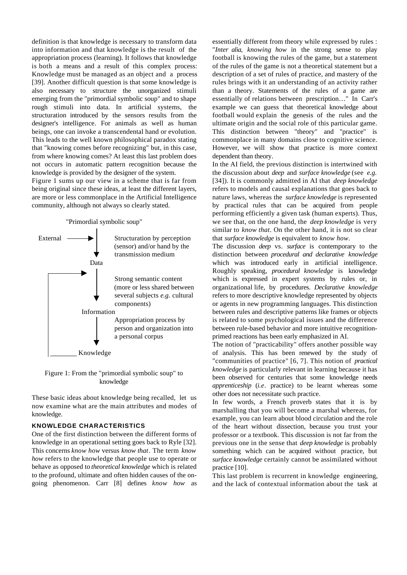definition is that knowledge is necessary to transform data into information and that knowledge is the result of the appropriation process (learning). It follows that knowledge is both a means and a result of this complex process: Knowledge must be managed as an object and a process [39]. Another difficult question is that some knowledge is also necessary to structure the unorganized stimuli emerging from the "primordial symbolic soup" and to shape rough stimuli into data. In artificial systems, the structuration introduced by the sensors results from the designer's intelligence. For animals as well as human beings, one can invoke a transcendental hand or evolution. This leads to the well known philosophical paradox stating that "knowing comes before recognizing" but, in this case, from where knowing comes? At least this last problem does not occurs in automatic pattern recognition because the knowledge is provided by the designer of the system.

Figure 1 sums up our view in a scheme that is far from being original since these ideas, at least the different layers, are more or less commonplace in the Artificial Intelligence community, although not always so clearly stated.

"Primordial symbolic soup"



Figure 1: From the "primordial symbolic soup" to knowledge

These basic ideas about knowledge being recalled, let us now examine what are the main attributes and modes of knowledge.

# **KNOWLEDGE CHARACTERISTICS**

One of the first distinction between the different forms of knowledge in an operational setting goes back to Ryle [32]. This concerns *know how* versus *know that*. The term *know how* refers to the knowledge that people use to operate or behave as opposed to *theoretical knowledge* which is related to the profound, ultimate and often hidden causes of the ongoing phenomenon. Carr [8] defines *know how* as essentially different from theory while expressed by rules : "*Inter alia*, *knowing how* in the strong sense to play football is knowing the rules of the game, but a statement of the rules of the game is not a theoretical statement but a description of a set of rules of practice, and mastery of the rules brings with it an understanding of an activity rather than a theory. Statements of the rules of a game are essentially of relations between prescription…" In Carr's example we can guess that theoretical knowledge about football would explain the genesis of the rules and the ultimate origin and the social role of this particular game. This distinction between "theory" and "practice" is commonplace in many domains close to cognitive science. However, we will show that practice is more context dependent than theory.

In the AI field, the previous distinction is intertwined with the discussion about *deep* and *surface knowledge* (see *e.g.* [34]). It is commonly admitted in AI that *deep knowledge* refers to models and causal explanations that goes back to nature laws, whereas the *surface knowledge* is represented by practical rules that can be acquired from people performing efficiently a given task (human experts). Thus, we see that, on the one hand, the *deep knowledge* is very similar to *know that*. On the other hand, it is not so clear that *surface knowledge* is equivalent to *know how*.

The discussion *deep* vs. *surface* is contemporary to the distinction between *procedural and declarative knowledge* which was introduced early in artificial intelligence. Roughly speaking, *procedural knowledge* is knowledge which is expressed in expert systems by rules or, in organizational life, by procedures. *Declarative knowledge* refers to more descriptive knowledge represented by objects or agents in new programming languages. This distinction between rules and descriptive patterns like frames or objects is related to some psychological issues and the difference between rule-based behavior and more intuitive recognitionprimed reactions has been early emphasized in AI.

The notion of "practicability" offers another possible way of analysis. This has been renewed by the study of "communities of practice" [6, 7]. This notion of *practical knowledge* is particularly relevant in learning because it has been observed for centuries that some knowledge needs *apprenticeship* (*i.e*. practice) to be learnt whereas some other does not necessitate such practice.

In few words, a French proverb states that it is by marshalling that you will become a marshal whereas, for example, you can learn about blood circulation and the role of the heart without dissection, because you trust your professor or a textbook. This discussion is not far from the previous one in the sense that *deep knowledge* is probably something which can be acquired without practice, but *surface knowledge* certainly cannot be assimilated without practice [10].

This last problem is recurrent in knowledge engineering, and the lack of contextual information about the task at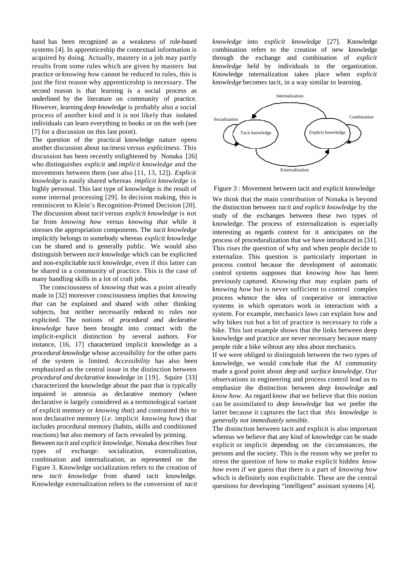hand has been recognized as a weakness of rule-based systems [4]. In apprenticeship the contextual information is acquired by doing. Actually, mastery in a job may partly results from some rules which are given by masters but practice or *knowing how* cannot be reduced to rules, this is just the first reason why apprenticeship is necessary. The second reason is that learning is a social process as underlined by the literature on community of practice. However, learning *deep knowledge* is probably also a social process of another kind and it is not likely that isolated individuals can learn everything in books or on the web (see [7] for a discussion on this last point).

The question of the practical knowledge nature opens another discussion about *tacitness* versus *explicitness*. This discussion has been recently enlightened by Nonaka [26] who distinguishes *explicit* and *implicit knowledge* and the movements between them (see also [11, 13, 12]). *Explicit knowledge* is easily shared whereas *implicit knowledge* is highly personal. This last type of knowledge is the result of some internal processing [29]. In decision making, this is reminiscent to Klein's Recognition-Primed Decision [20]. The discussion about *tacit* versus *explicit knowledge* is not far from *knowing how* versus *knowing that* while it stresses the appropriation components. The *tacit knowledge* implicitly belongs to somebody whereas *explicit knowledge* can be shared and is generally public. We would also distinguish between *tacit knowledge* which can be explicited and non-explicitable *tacit knowledge*, even if this latter can be shared in a community of practice. This is the case of many handling skills in a lot of craft jobs.

The consciousness of *knowing that* was a point already made in [32] moreover consciousness implies that *knowing that* can be explained and shared with other thinking subjects, but neither necessarily reduced to rules nor explicited. The notions of *procedural and declarative knowledge* have been brought into contact with the implicit-explicit distinction by several authors. For instance, [16, 17] characterized implicit knowledge as a *procedural knowledge* whose accessibility for the other parts of the system is limited. *Accessibility* has also been emphasized as the central issue in the distinction between *procedural and declarative knowledge* in [19]. Squire [33] characterized the knowledge about the past that is typically impaired in amnesia as declarative memory (where declarative is largely considered as a terminological variant of explicit memory or *knowing that*) and contrasted this to non declarative memory (*i.e*. implicit *knowing how*) that includes procedural memory (habits, skills and conditioned reactions) but also memory of facts revealed by priming.

Between *tacit* and *explicit knowledge*, Nonaka describes four types of exchange: socialization, externalization, combination and internalization, as represented on the Figure 3. Knowledge socialization refers to the creation of new *tacit knowledge* from shared tacit knowledge. Knowledge externalization refers to the conversion of *tacit* *knowledge* into *explicit knowledge* [27]. Knowledge combination refers to the creation of new knowledge through the exchange and combination of *explicit knowledge* held by individuals in the organization. Knowledge internalization takes place when *explicit knowledge* becomes tacit, in a way similar to learning.



Figure 3 : Movement between tacit and explicit knowledge

We think that the main contribution of Nonaka is beyond the distinction between *tacit and explicit knowledge* by the study of the exchanges between these two types of knowledge. The process of externalization is especially interesting as regards context for it anticipates on the process of proceduralization that we have introduced in [31]. This rises the question of why and when people decide to externalize. This question is particularly important in process control because the development of automatic control systems supposes that *knowing how* has been previously captured. *Knowing that* may explain parts of *knowing how* but is never sufficient to control complex process whence the idea of cooperative or interactive systems in which operators work in interaction with a system. For example, mechanics laws can explain how and why bikes run but a bit of practice is necessary to ride a bike. This last example shows that the links between deep knowledge and practice are never necessary because many people ride a bike wihtout any idea about mechanics.

If we were obliged to distinguish between the two types of knowledge, we would conclude that the AI community made a good point about *deep* and *surface knowledge*. Our observations in engineering and process control lead us to emphasize the distinction between *deep knowledge* and *know how*. As regard *know that* we believe that this notion can be assimilated to *deep knowledge* but we prefer the latter because it captures the fact that *this knowledge is generally not immediately sensible.*

The distinction between tacit and explicit is also important whereas we believe that any kind of knowledge can be made explicit or implicit depending on the circumstances, the persons and the society. This is the reason why we prefer to stress the question of how to make explicit hidden *know how* even if we guess that there is a part of *knowing how* which is definitely non explicitable. These are the central questions for developing "intelligent" assistant systems [4].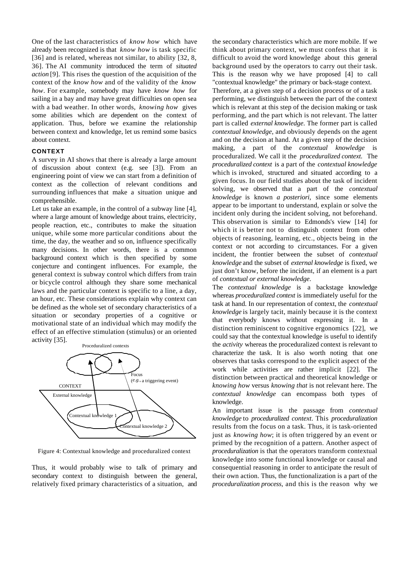One of the last characteristics of *know how* which have already been recognized is that *know how* is task specific [36] and is related, whereas not similar, to ability [32, 8,] 36]. The AI community introduced the term of *situated action* [9]. This rises the question of the acquisition of the context of the *know how* and of the validity of the *know how*. For example, somebody may have *know how* for sailing in a bay and may have great difficulties on open sea with a bad weather. In other words, *knowing how* gives some abilities which are dependent on the context of application. Thus, before we examine the relationship between context and knowledge, let us remind some basics about context.

#### **CONTEXT**

A survey in AI shows that there is already a large amount of discussion about context (e.g. see [3]). From an engineering point of view we can start from a definition of context as the collection of relevant conditions and surrounding influences that make a situation unique and comprehensible.

Let us take an example, in the control of a subway line [4], where a large amount of knowledge about trains, electricity, people reaction, etc., contributes to make the situation unique, while some more particular conditions about the time, the day, the weather and so on, influence specifically many decisions. In other words, there is a common background context which is then specified by some conjecture and contingent influences. For example, the general context is subway control which differs from train or bicycle control although they share some mechanical laws and the particular context is specific to a line, a day, an hour, etc. These considerations explain why context can be defined as the whole set of secondary characteristics of a situation or secondary properties of a cognitive or motivational state of an individual which may modify the effect of an effective stimulation (stimulus) or an oriented activity [35].



Figure 4: Contextual knowledge and proceduralized context

Thus, it would probably wise to talk of primary and secondary context to distinguish between the general, relatively fixed primary characteristics of a situation, and

the secondary characteristics which are more mobile. If we think about primary context, we must confess that it is difficult to avoid the word knowledge about this general background used by the operators to carry out their task. This is the reason why we have proposed [4] to call "contextual knowledge" the primary or back-stage context. Therefore, at a given step of a decision process or of a task performing, we distinguish between the part of the context which is relevant at this step of the decision making or task performing, and the part which is not relevant. The latter part is called *external knowledge*. The former part is called *contextual knowledge*, and obviously depends on the agent and on the decision at hand. At a given step of the decision making, a part of the *contextual knowledge* is proceduralized. We call it the *proceduralized context*. The *proceduralized context* is a part of the *contextual knowledge* which is invoked, structured and situated according to a given focus. In our field studies about the task of incident solving, we observed that a part of the *contextual knowledge* is known *a posteriori*, since some elements appear to be important to understand, explain or solve the incident only during the incident solving, not beforehand. This observation is similar to Edmonds's view [14] for which it is better not to distinguish context from other objects of reasoning, learning, etc., objects being in the context or not according to circumstances. For a given incident, the frontier between the subset of *contextual knowledge* and the subset of *external knowledge* is fixed, we just don't know, before the incident, if an element is a part of *contextual or external knowledge*.

The *contextual knowledge* is a backstage knowledge whereas *proceduralized context* is immediately useful for the task at hand. In our representation of context, the *contextual knowledge* is largely tacit, mainly because it is the context that everybody knows without expressing it. In a distinction reminiscent to cognitive ergonomics [22], we could say that the contextual knowledge is useful to identify the *activity* whereas the proceduralized context is relevant to characterize the task. It is also worth noting that one observes that tasks correspond to the explicit aspect of the work while activities are rather implicit [22]. The distinction between practical and theoretical knowledge or *knowing how* versus *knowing that* is not relevant here. The *contextual knowledge* can encompass both types of knowledge.

An important issue is the passage from *contextual knowledge* to *proceduralized context*. This *proceduralization* results from the focus on a task. Thus, it is task-oriented just as *knowing how*; it is often triggered by an event or primed by the recognition of a pattern. Another aspect of *proceduralization* is that the operators transform contextual knowledge into some functional knowledge or causal and consequential reasoning in order to anticipate the result of their own action. Thus, the functionalization is a part of the *proceduralization process*, and this is the reason why we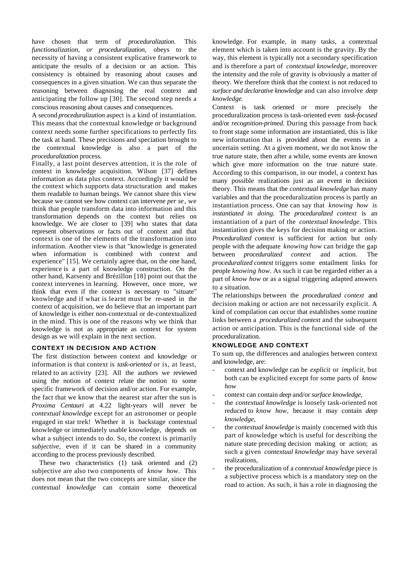have chosen that term of *proceduralization*. This *functionalization, or proceduralization*, obeys to the necessity of having a consistent explicative framework to anticipate the results of a decision or an action. This consistency is obtained by reasoning about causes and consequences in a given situation. We can thus separate the reasoning between diagnosing the real context and anticipating the follow up [30]. The second step needs a conscious reasoning about causes and consequences.

A second *proceduralization* aspect is a kind of instantiation. This means that the contextual knowledge or background context needs some further specifications to perfectly fits the task at hand. These precisions and speciation brought to the contextual knowledge is also a part of the *proceduralization* process.

Finally, a last point deserves attention, it is the role of context in knowledge acquisition. Wilson [37] defines information as data plus context. Accordingly it would be the context which supports data structuration and makes them readable to human beings. We cannot share this view because we cannot see how context can intervene *per se*, we think that people transform data into information and this transformation depends on the context but relies on knowledge. We are closer to [39] who states that data represent observations or facts out of context and that context is one of the elements of the transformation into information. Another view is that "knowledge is generated when information is combined with context and experience" [15]. We certainly agree that, on the one hand, experience is a part of knowledge construction. On the other hand, Karsenty and Brézillon [18] point out that the context intervenes in learning. However, once more, we think that even if the context is necessary to "situate" knowledge and if what is learnt must be re-used in the context of acquisition, we do believe that an important part of knowledge is either non-contextual or de-contextualized in the mind. This is one of the reasons why we think that knowledge is not as appropriate as context for system design as we will explain in the next section.

# **CONTEXT IN DECISION AND ACTION**

The first distinction between context and knowledge or information is that context is *task-oriented* or is, at least, related to an activity [23]. All the authors we reviewed using the notion of context relate the notion to some specific framework of decision and/or action. For example, the fact that we know that the nearest star after the sun is *Proxima Centauri* at 4.22 light-years will never be *contextual knowledge* except for an astronomer or people engaged in star trek! Whether it is backstage contextual knowledge or immediately usable knowledge, depends on what a subject intends to do. So, the context is primarily *subjective*, even if it can be shared in a community according to the process previously described.

These two characteristics (1) task oriented and (2) subjective are also two components of *know how*. This does not mean that the two concepts are similar, since the *contextual knowledge* can contain some theoretical

knowledge. For example, in many tasks, a contextual element which is taken into account is the gravity. By the way, this element is typically not a secondary specification and is therefore a part of *contextual knowledge*, moreover the intensity and the role of gravity is obviously a matter of theory. We therefore think that the context is not reduced to *surface and declarative knowledge* and can also involve *deep knowledge*.

Context is task oriented or more precisely the proceduralization process is task-oriented even *task-focused* and/or *recognition-primed*. During this passage from back to front stage some information are instantiated, this is like new information that is provided about the events in a uncertain setting. At a given moment, we do not know the true nature state, then after a while, some events are known which give more information on the true nature state. According to this comparison, in our model, a context has many possible realizations just as an event in decision theory. This means that the *contextual knowledge* has many variables and that the proceduralization process is partly an instantiation process. One can say that *knowing how is instantiated in doing.* The *proceduralized context* is an instantiation of a part of the *contextual knowledge*. This instantiation gives the keys for decision making or action. *Proceduralized context* is sufficient for action but only people with the adequate *knowing how* can bridge the gap between *proceduralized context* and action. The *proceduralized context* triggers some entailment links for people *knowing how*. As such it can be regarded either as a part of *know how* or as a signal triggering adapted answers to a situation.

The relationships between the *proceduralized context* and decision making or action are not necessarily explicit. A kind of compilation can occur that establishes some routine links between a *proceduralized context* and the subsequent action or anticipation. This is the functional side of the proceduralization.

# **KNOWLEDGE AND CONTEXT**

To sum up, the differences and analogies between context and knowledge, are:

- context and knowledge can be *explicit* or *implicit*, but both can be explicited except for some parts of *know how*
- context can contain *deep* and/or *surface knowledge*,
- the *contextual knowledge* is loosely task-oriented not reduced to *know how*, because it may contain *deep knowledge,*
- the *contextual knowledge* is mainly concerned with this part of knowledge which is useful for describing the nature state preceding decision making or action; as such a given *contextual knowledge* may have several realizations,
- the proceduralization of a *contextual knowledge* piece is a subjective process which is a mandatory step on the road to action. As such, it has a role in diagnosing the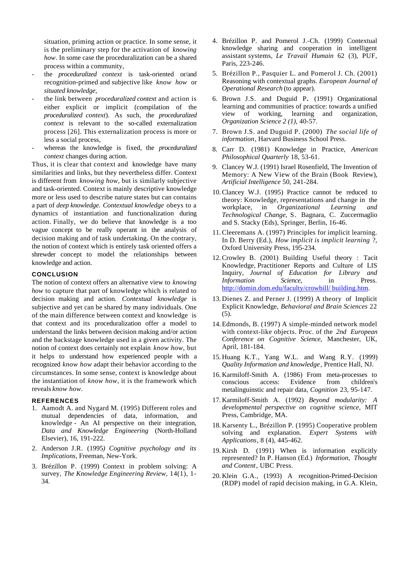situation, priming action or practice. In some sense, it is the preliminary step for the activation of *knowing how*. In some case the proceduralization can be a shared process within a community,

- the *proceduralized context* is task-oriented or/and recognition-primed and subjective like *know how* or *situated knowledge*,
- the link between *proceduralized context* and action is either explicit or implicit (compilation of the *proceduralized context*). As such, the *proceduralized context* is relevant to the so-called externalization process [26]. This externalization process is more or less a social process,
- whereas the knowledge is fixed, the *proceduralized context* changes during action.

Thus, it is clear that context and knowledge have many similarities and links, but they nevertheless differ. Context is different from *knowing how*, but is similarly subjective and task-oriented. Context is mainly descriptive knowledge more or less used to describe nature states but can contains a part of *deep knowledge*. *Contextual knowledge* obeys to a dynamics of instantiation and functionalization during action. Finally, we do believe that knowledge is a too vague concept to be really operant in the analysis of decision making and of task undertaking. On the contrary, the notion of context which is entirely task oriented offers a shrewder concept to model the relationships between knowledge and action.

#### **CONCLUSION**

The notion of context offers an alternative view to *knowing how* to capture that part of knowledge which is related to decision making and action. *Contextual knowledge* is subjective and yet can be shared by many individuals. One of the main difference between context and knowledge is that context and its proceduralization offer a model to understand the links between decision making and/or action and the backstage knowledge used in a given activity. The notion of context does certainly not explain *know how*, but it helps to understand how experienced people with a recognized *know how* adapt their behavior according to the circumstances. In some sense, context is knowledge about the instantiation of *know how*, it is the framework which reveals *know how*.

#### **REFERENCES**

- 1. Aamodt A. and Nygard M. (1995) Different roles and mutual dependencies of data, information, and knowledge - An AI perspective on their integration*, Data and Knowledge Engineering* (North-Holland Elsevier), 16, 191-222.
- 2. Anderson J.R. (1995*) Cognitive psychology and its Implications*, Freeman, New-York.
- 3. Brézillon P. (1999) Context in problem solving: A survey, *The Knowledge Engineering Review*, 14(1), 1- 34.
- 4. Brézillon P. and Pomerol J.-Ch. (1999) Contextual knowledge sharing and cooperation in intelligent assistant systems, *Le Travail Humain* 62 (3), PUF, Paris, 223-246.
- 5. Brézillon P., Pasquier L. and Pomerol J. Ch. (2001) Reasoning with contextual graphs. *European Journal of Operational Research* (to appear).
- 6. Brown J.S. and Duguid P**.** (1991) Organizational learning and communities of practice: towards a unified view of working, learning and organization, *Organization Science 2 (1)*, 40-57.
- 7. Brown J.S. and Duguid P. (2000) *The social life of information*, Harvard Business School Press.
- 8. Carr D. (1981) Knowledge in Practice, *American Philosophical Quarterly* 18, 53-61.
- 9. Clancey W.J. (1991) Israel Rosenfield, The Invention of Memory: A New View of the Brain (Book Review), *Artificial Intelligence* 50, 241-284.
- 10.Clancey W.J. (1995) Practice cannot be reduced to theory: Knowledge, representations and change in the workplace, in *Organizational Learning and Technological Change*, S. Bagnara, C. Zuccermaglio and S. Stacky (Eds), Springer, Berlin, 16-46.
- 11.Cleeremans A. (1997) Principles for implicit learning. In D. Berry (Ed.), *How implicit is implicit learning* ?, Oxford University Press, 195-234.
- 12.Crowley B. (2001) Building Useful theory : Tacit Knowledge, Practitioner Reports and Culture of LIS Inquiry, *Journal of Education for Library and Information Science*, in http://domin.dom.edu/faculty/crowbill/ building.htm .
- 13. Dienes Z. and Perner J. (1999) A theory of Implicit Explicit Knowledge, *Behavioral and Brain Sciences* 22 (5).
- 14.Edmonds, B. (1997) A simple-minded network model with context-like objects. Proc. of the *2nd European Conference on Cognitive Science*, Manchester, UK, April, 181-184.
- 15. Huang K.T., Yang W.L. and Wang R.Y. (1999) *Quality Information and knowledge*, Prentice Hall, NJ.
- 16. Karmiloff-Smith A. (1986) From meta-processes to conscious access: Evidence from children's metalinguinstic and repair data, *Cognition* 23, 95-147.
- 17. Karmiloff-Smith A. (1992) *Beyond modularity: A developmental perspective on cognitive science,* MIT Press, Cambridge, MA.
- 18. Karsenty L., Brézillon P. (1995) Cooperative problem solving and explanation. *Expert Systems with Applications*, 8 (4), 445-462.
- 19. Kirsh D. (1991) When is information explicitly represented? In P. Hanson (Ed.) *Information*, *Thought and Content*, UBC Press.
- 20. Klein G.A., (1993) A recognition-Primed-Decision (RDP) model of rapid decision making, in G.A. Klein,